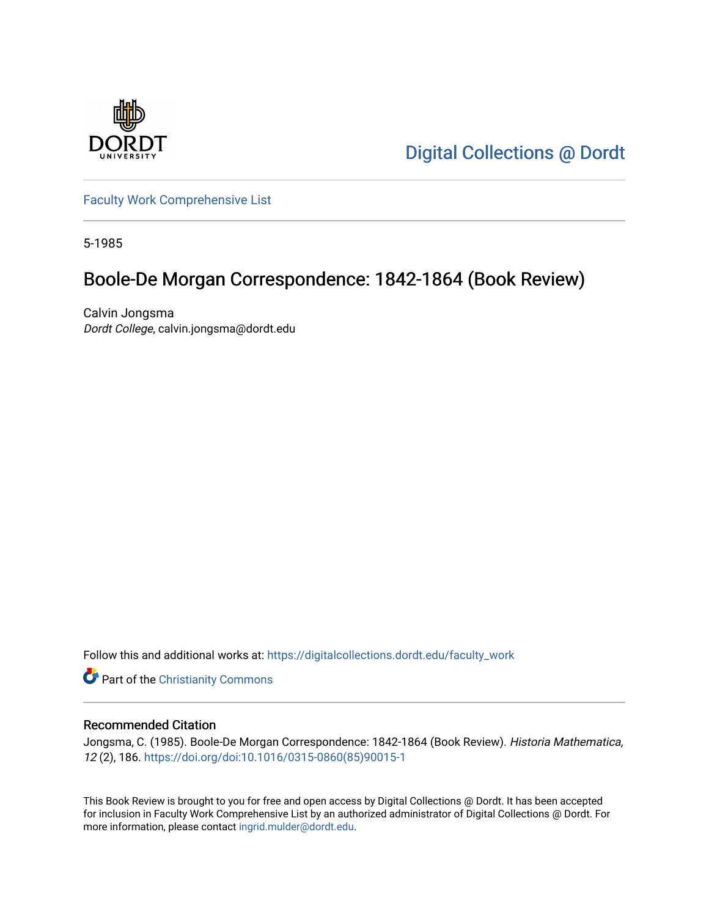

[Digital Collections @ Dordt](https://digitalcollections.dordt.edu/) 

[Faculty Work Comprehensive List](https://digitalcollections.dordt.edu/faculty_work)

5-1985

# Boole-De Morgan Correspondence: 1842-1864 (Book Review)

Calvin Jongsma Dordt College, calvin.jongsma@dordt.edu

Follow this and additional works at: [https://digitalcollections.dordt.edu/faculty\\_work](https://digitalcollections.dordt.edu/faculty_work?utm_source=digitalcollections.dordt.edu%2Ffaculty_work%2F303&utm_medium=PDF&utm_campaign=PDFCoverPages) 

Part of the [Christianity Commons](http://network.bepress.com/hgg/discipline/1181?utm_source=digitalcollections.dordt.edu%2Ffaculty_work%2F303&utm_medium=PDF&utm_campaign=PDFCoverPages) 

#### Recommended Citation

Jongsma, C. (1985). Boole-De Morgan Correspondence: 1842-1864 (Book Review). Historia Mathematica, 12 (2), 186. [https://doi.org/doi:10.1016/0315-0860\(85\)90015-1](https://doi.org/doi:10.1016/0315-0860(85)90015-1) 

This Book Review is brought to you for free and open access by Digital Collections @ Dordt. It has been accepted for inclusion in Faculty Work Comprehensive List by an authorized administrator of Digital Collections @ Dordt. For more information, please contact [ingrid.mulder@dordt.edu.](mailto:ingrid.mulder@dordt.edu)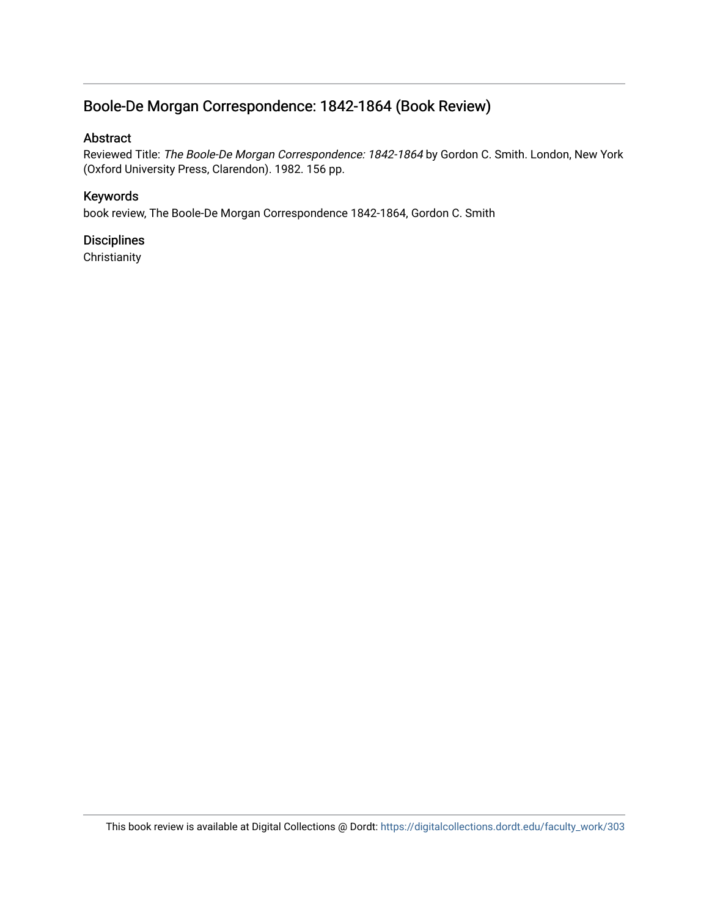## Boole-De Morgan Correspondence: 1842-1864 (Book Review)

#### Abstract

Reviewed Title: The Boole-De Morgan Correspondence: 1842-1864 by Gordon C. Smith. London, New York (Oxford University Press, Clarendon). 1982. 156 pp.

#### Keywords

book review, The Boole-De Morgan Correspondence 1842-1864, Gordon C. Smith

#### **Disciplines**

**Christianity**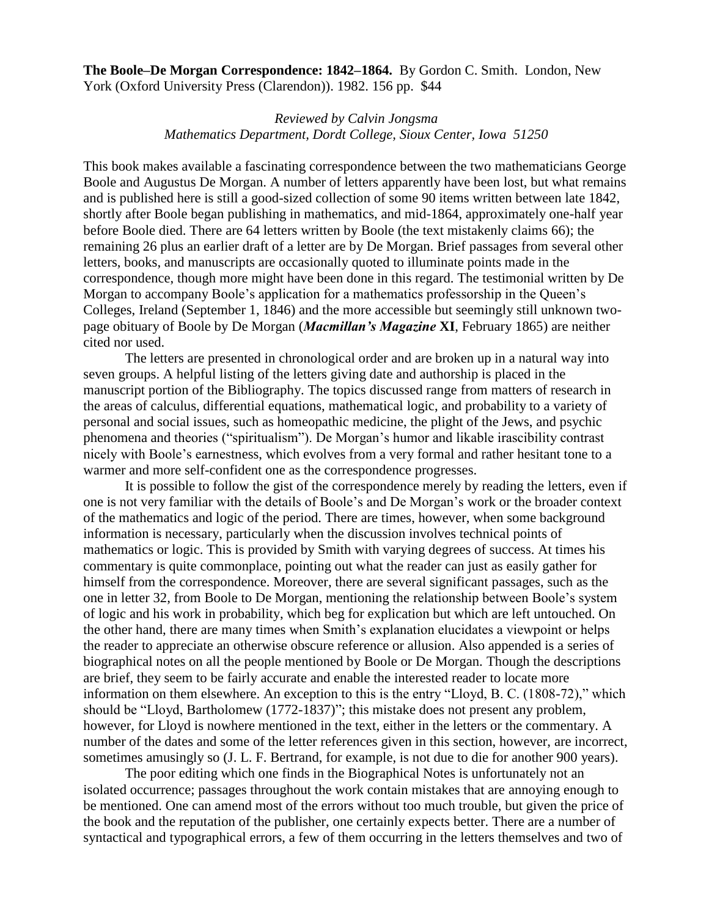**The Boole–De Morgan Correspondence: 1842–1864.** By Gordon C. Smith. London, New York (Oxford University Press (Clarendon)). 1982. 156 pp. \$44

### *Reviewed by Calvin Jongsma Mathematics Department, Dordt College, Sioux Center, Iowa 51250*

This book makes available a fascinating correspondence between the two mathematicians George Boole and Augustus De Morgan. A number of letters apparently have been lost, but what remains and is published here is still a good-sized collection of some 90 items written between late 1842, shortly after Boole began publishing in mathematics, and mid-1864, approximately one-half year before Boole died. There are 64 letters written by Boole (the text mistakenly claims 66); the remaining 26 plus an earlier draft of a letter are by De Morgan. Brief passages from several other letters, books, and manuscripts are occasionally quoted to illuminate points made in the correspondence, though more might have been done in this regard. The testimonial written by De Morgan to accompany Boole's application for a mathematics professorship in the Queen's Colleges, Ireland (September 1, 1846) and the more accessible but seemingly still unknown twopage obituary of Boole by De Morgan (*Macmillan's Magazine* **XI**, February 1865) are neither cited nor used.

The letters are presented in chronological order and are broken up in a natural way into seven groups. A helpful listing of the letters giving date and authorship is placed in the manuscript portion of the Bibliography. The topics discussed range from matters of research in the areas of calculus, differential equations, mathematical logic, and probability to a variety of personal and social issues, such as homeopathic medicine, the plight of the Jews, and psychic phenomena and theories ("spiritualism"). De Morgan's humor and likable irascibility contrast nicely with Boole's earnestness, which evolves from a very formal and rather hesitant tone to a warmer and more self-confident one as the correspondence progresses.

It is possible to follow the gist of the correspondence merely by reading the letters, even if one is not very familiar with the details of Boole's and De Morgan's work or the broader context of the mathematics and logic of the period. There are times, however, when some background information is necessary, particularly when the discussion involves technical points of mathematics or logic. This is provided by Smith with varying degrees of success. At times his commentary is quite commonplace, pointing out what the reader can just as easily gather for himself from the correspondence. Moreover, there are several significant passages, such as the one in letter 32, from Boole to De Morgan, mentioning the relationship between Boole's system of logic and his work in probability, which beg for explication but which are left untouched. On the other hand, there are many times when Smith's explanation elucidates a viewpoint or helps the reader to appreciate an otherwise obscure reference or allusion. Also appended is a series of biographical notes on all the people mentioned by Boole or De Morgan. Though the descriptions are brief, they seem to be fairly accurate and enable the interested reader to locate more information on them elsewhere. An exception to this is the entry "Lloyd, B. C. (1808-72)," which should be "Lloyd, Bartholomew (1772-1837)"; this mistake does not present any problem, however, for Lloyd is nowhere mentioned in the text, either in the letters or the commentary. A number of the dates and some of the letter references given in this section, however, are incorrect, sometimes amusingly so (J. L. F. Bertrand, for example, is not due to die for another 900 years).

The poor editing which one finds in the Biographical Notes is unfortunately not an isolated occurrence; passages throughout the work contain mistakes that are annoying enough to be mentioned. One can amend most of the errors without too much trouble, but given the price of the book and the reputation of the publisher, one certainly expects better. There are a number of syntactical and typographical errors, a few of them occurring in the letters themselves and two of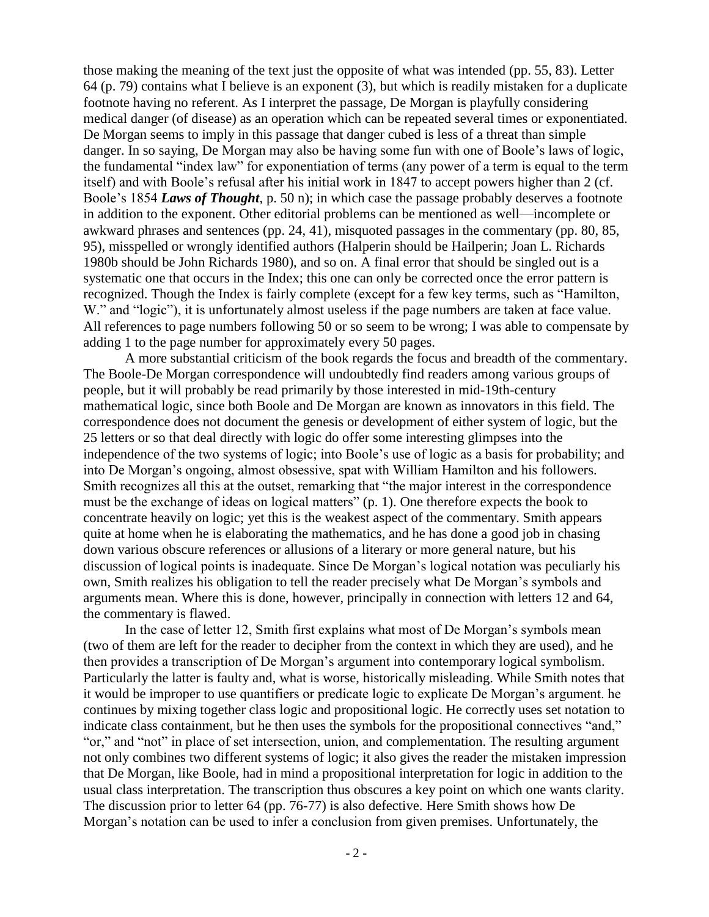those making the meaning of the text just the opposite of what was intended (pp. 55, 83). Letter 64 (p. 79) contains what I believe is an exponent (3), but which is readily mistaken for a duplicate footnote having no referent. As I interpret the passage, De Morgan is playfully considering medical danger (of disease) as an operation which can be repeated several times or exponentiated. De Morgan seems to imply in this passage that danger cubed is less of a threat than simple danger. In so saying, De Morgan may also be having some fun with one of Boole's laws of logic, the fundamental "index law" for exponentiation of terms (any power of a term is equal to the term itself) and with Boole's refusal after his initial work in 1847 to accept powers higher than 2 (cf. Boole's 1854 *Laws of Thought*, p. 50 n); in which case the passage probably deserves a footnote in addition to the exponent. Other editorial problems can be mentioned as well—incomplete or awkward phrases and sentences (pp. 24, 41), misquoted passages in the commentary (pp. 80, 85, 95), misspelled or wrongly identified authors (Halperin should be Hailperin; Joan L. Richards 1980b should be John Richards 1980), and so on. A final error that should be singled out is a systematic one that occurs in the Index; this one can only be corrected once the error pattern is recognized. Though the Index is fairly complete (except for a few key terms, such as "Hamilton, W." and "logic"), it is unfortunately almost useless if the page numbers are taken at face value. All references to page numbers following 50 or so seem to be wrong; I was able to compensate by adding 1 to the page number for approximately every 50 pages.

A more substantial criticism of the book regards the focus and breadth of the commentary. The Boole-De Morgan correspondence will undoubtedly find readers among various groups of people, but it will probably be read primarily by those interested in mid-19th-century mathematical logic, since both Boole and De Morgan are known as innovators in this field. The correspondence does not document the genesis or development of either system of logic, but the 25 letters or so that deal directly with logic do offer some interesting glimpses into the independence of the two systems of logic; into Boole's use of logic as a basis for probability; and into De Morgan's ongoing, almost obsessive, spat with William Hamilton and his followers. Smith recognizes all this at the outset, remarking that "the major interest in the correspondence must be the exchange of ideas on logical matters" (p. 1). One therefore expects the book to concentrate heavily on logic; yet this is the weakest aspect of the commentary. Smith appears quite at home when he is elaborating the mathematics, and he has done a good job in chasing down various obscure references or allusions of a literary or more general nature, but his discussion of logical points is inadequate. Since De Morgan's logical notation was peculiarly his own, Smith realizes his obligation to tell the reader precisely what De Morgan's symbols and arguments mean. Where this is done, however, principally in connection with letters 12 and 64, the commentary is flawed.

In the case of letter 12, Smith first explains what most of De Morgan's symbols mean (two of them are left for the reader to decipher from the context in which they are used), and he then provides a transcription of De Morgan's argument into contemporary logical symbolism. Particularly the latter is faulty and, what is worse, historically misleading. While Smith notes that it would be improper to use quantifiers or predicate logic to explicate De Morgan's argument. he continues by mixing together class logic and propositional logic. He correctly uses set notation to indicate class containment, but he then uses the symbols for the propositional connectives "and," "or," and "not" in place of set intersection, union, and complementation. The resulting argument not only combines two different systems of logic; it also gives the reader the mistaken impression that De Morgan, like Boole, had in mind a propositional interpretation for logic in addition to the usual class interpretation. The transcription thus obscures a key point on which one wants clarity. The discussion prior to letter 64 (pp. 76-77) is also defective. Here Smith shows how De Morgan's notation can be used to infer a conclusion from given premises. Unfortunately, the